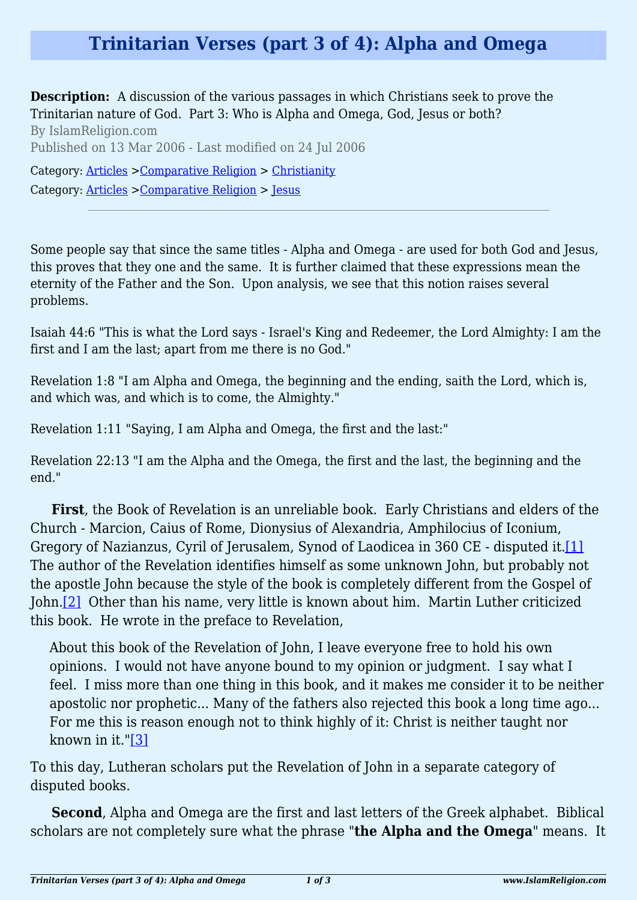## **Trinitarian Verses (part 3 of 4): Alpha and Omega**

**Description:** A discussion of the various passages in which Christians seek to prove the Trinitarian nature of God. Part 3: Who is Alpha and Omega, God, Jesus or both? By IslamReligion.com Published on 13 Mar 2006 - Last modified on 24 Jul 2006 Category: [Articles](http://www.islamreligion.com/articles/) >[Comparative Religion](http://www.islamreligion.com/category/68/) > [Christianity](http://www.islamreligion.com/category/71/) Category: [Articles](http://www.islamreligion.com/articles/) >[Comparative Religion](http://www.islamreligion.com/category/68/) > [Jesus](http://www.islamreligion.com/category/69/)

Some people say that since the same titles - Alpha and Omega - are used for both God and Jesus, this proves that they one and the same. It is further claimed that these expressions mean the eternity of the Father and the Son. Upon analysis, we see that this notion raises several problems.

Isaiah 44:6 "This is what the Lord says - Israel's King and Redeemer, the Lord Almighty: I am the first and I am the last; apart from me there is no God."

Revelation 1:8 "I am Alpha and Omega, the beginning and the ending, saith the Lord, which is, and which was, and which is to come, the Almighty."

Revelation 1:11 "Saying, I am Alpha and Omega, the first and the last:"

Revelation 22:13 "I am the Alpha and the Omega, the first and the last, the beginning and the end."

<span id="page-0-0"></span>**First**, the Book of Revelation is an unreliable book. Early Christians and elders of the Church - Marcion, Caius of Rome, Dionysius of Alexandria, Amphilocius of Iconium, Gregory of Nazianzus, Cyril of Jerusalem, Synod of Laodicea in 360 CE - disputed it.[\[1\]](#page-1-0) The author of the Revelation identifies himself as some unknown John, but probably not the apostle John because the style of the book is completely different from the Gospel of John.[\[2\]](#page-1-1) Other than his name, very little is known about him. Martin Luther criticized this book. He wrote in the preface to Revelation,

<span id="page-0-1"></span>About this book of the Revelation of John, I leave everyone free to hold his own opinions. I would not have anyone bound to my opinion or judgment. I say what I feel. I miss more than one thing in this book, and it makes me consider it to be neither apostolic nor prophetic... Many of the fathers also rejected this book a long time ago... For me this is reason enough not to think highly of it: Christ is neither taught nor known in it."[\[3\]](#page-2-0)

<span id="page-0-2"></span>To this day, Lutheran scholars put the Revelation of John in a separate category of disputed books.

**Second**, Alpha and Omega are the first and last letters of the Greek alphabet. Biblical scholars are not completely sure what the phrase "**the Alpha and the Omega**" means. It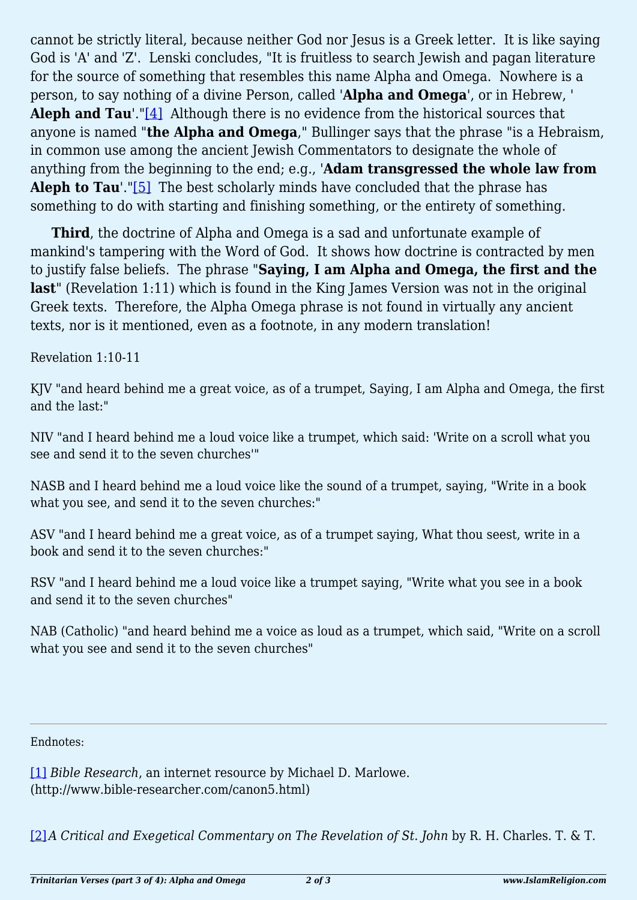<span id="page-1-2"></span>cannot be strictly literal, because neither God nor Jesus is a Greek letter. It is like saying God is 'A' and 'Z'. Lenski concludes, "It is fruitless to search Jewish and pagan literature for the source of something that resembles this name Alpha and Omega. Nowhere is a person, to say nothing of a divine Person, called '**Alpha and Omega**', or in Hebrew, ' **Aleph and Tau'."**[4] Although there is no evidence from the historical sources that anyone is named "**the Alpha and Omega**," Bullinger says that the phrase "is a Hebraism, in common use among the ancient Jewish Commentators to designate the whole of anything from the beginning to the end; e.g., '**Adam transgressed the whole law from Aleph to Tau'.**["\[5\]](#page-2-2) The best scholarly minds have concluded that the phrase has something to do with starting and finishing something, or the entirety of something.

<span id="page-1-3"></span>**Third**, the doctrine of Alpha and Omega is a sad and unfortunate example of mankind's tampering with the Word of God. It shows how doctrine is contracted by men to justify false beliefs. The phrase "**Saying, I am Alpha and Omega, the first and the last**" (Revelation 1:11) which is found in the King James Version was not in the original Greek texts. Therefore, the Alpha Omega phrase is not found in virtually any ancient texts, nor is it mentioned, even as a footnote, in any modern translation!

Revelation 1:10-11

KJV "and heard behind me a great voice, as of a trumpet, Saying, I am Alpha and Omega, the first and the last:"

NIV "and I heard behind me a loud voice like a trumpet, which said: 'Write on a scroll what you see and send it to the seven churches'"

NASB and I heard behind me a loud voice like the sound of a trumpet, saying, "Write in a book what you see, and send it to the seven churches:"

ASV "and I heard behind me a great voice, as of a trumpet saying, What thou seest, write in a book and send it to the seven churches:"

RSV "and I heard behind me a loud voice like a trumpet saying, "Write what you see in a book and send it to the seven churches"

NAB (Catholic) "and heard behind me a voice as loud as a trumpet, which said, "Write on a scroll what you see and send it to the seven churches"

<span id="page-1-0"></span>Endnotes:

[\[1\]](#page-0-0) *Bible Research*, an internet resource by Michael D. Marlowe. (http://www.bible-researcher.com/canon5.html)

<span id="page-1-1"></span>[\[2\]](#page-0-1)*A Critical and Exegetical Commentary on The Revelation of St. John* by R. H. Charles. T. & T.